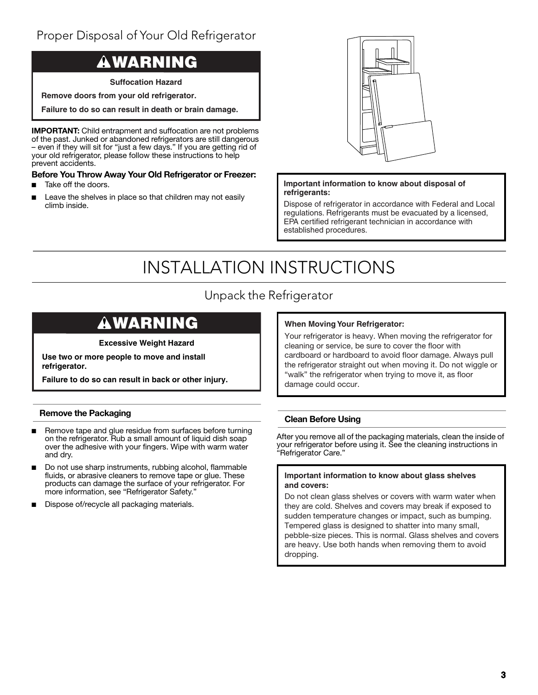# Proper Disposal of Your Old Refrigerator

# **WARNING**

**Suffocation Hazard**

**Remove doors from your old refrigerator.** 

**Failure to do so can result in death or brain damage.**

**IMPORTANT:** Child entrapment and suffocation are not problems of the past. Junked or abandoned refrigerators are still dangerous – even if they will sit for "just a few days." If you are getting rid of your old refrigerator, please follow these instructions to help prevent accidents.

# **Before You Throw Away Your Old Refrigerator or Freezer:**

- Take off the doors.
- Leave the shelves in place so that children may not easily climb inside.



# **Important information to know about disposal of refrigerants:**

Dispose of refrigerator in accordance with Federal and Local regulations. Refrigerants must be evacuated by a licensed, EPA certified refrigerant technician in accordance with established procedures.

# INSTALLATION INSTRUCTIONS

# Unpack the Refrigerator

# **WARNING**

# **Excessive Weight Hazard**

**Use two or more people to move and install refrigerator.**

**Failure to do so can result in back or other injury.**

# **Remove the Packaging**

- Remove tape and glue residue from surfaces before turning on the refrigerator. Rub a small amount of liquid dish soap over the adhesive with your fingers. Wipe with warm water and dry.
- Do not use sharp instruments, rubbing alcohol, flammable fluids, or abrasive cleaners to remove tape or glue. These products can damage the surface of your refrigerator. For more information, see "Refrigerator Safety."
- Dispose of/recycle all packaging materials.

# **When Moving Your Refrigerator:**

Your refrigerator is heavy. When moving the refrigerator for cleaning or service, be sure to cover the floor with cardboard or hardboard to avoid floor damage. Always pull the refrigerator straight out when moving it. Do not wiggle or "walk" the refrigerator when trying to move it, as floor damage could occur.

# **Clean Before Using**

After you remove all of the packaging materials, clean the inside of your refrigerator before using it. See the cleaning instructions in "Refrigerator Care."

# **Important information to know about glass shelves and covers:**

Do not clean glass shelves or covers with warm water when they are cold. Shelves and covers may break if exposed to sudden temperature changes or impact, such as bumping. Tempered glass is designed to shatter into many small, pebble-size pieces. This is normal. Glass shelves and covers are heavy. Use both hands when removing them to avoid dropping.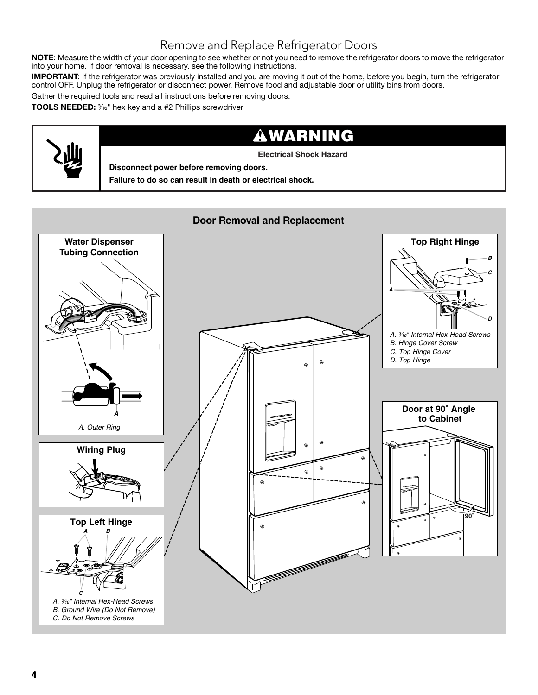# Remove and Replace Refrigerator Doors

**NOTE:** Measure the width of your door opening to see whether or not you need to remove the refrigerator doors to move the refrigerator into your home. If door removal is necessary, see the following instructions.

**IMPORTANT:** If the refrigerator was previously installed and you are moving it out of the home, before you begin, turn the refrigerator control OFF. Unplug the refrigerator or disconnect power. Remove food and adjustable door or utility bins from doors.

Gather the required tools and read all instructions before removing doors.

**TOOLS NEEDED:** 3/16" hex key and a #2 Phillips screwdriver

# **WARNING**

**Electrical Shock Hazard**

**Disconnect power before removing doors.**

**Failure to do so can result in death or electrical shock.**

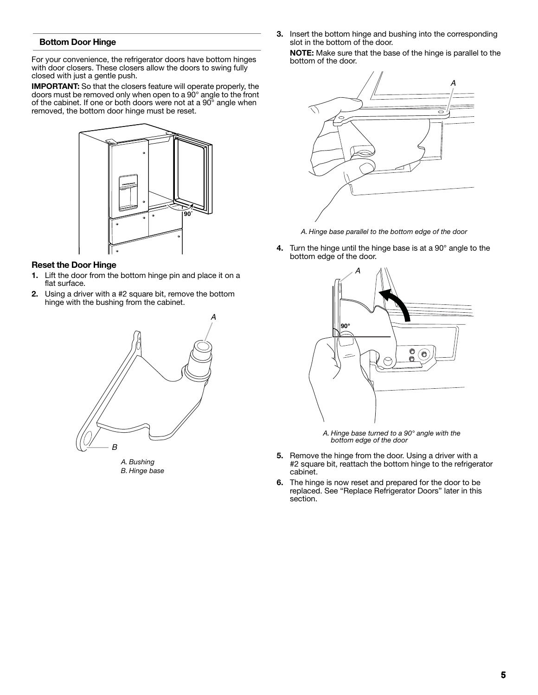# **Bottom Door Hinge**

For your convenience, the refrigerator doors have bottom hinges with door closers. These closers allow the doors to swing fully closed with just a gentle push.

**IMPORTANT:** So that the closers feature will operate properly, the doors must be removed only when open to a 90° angle to the front of the cabinet. If one or both doors were not at a 90° angle when removed, the bottom door hinge must be reset.



# **Reset the Door Hinge**

- **1.** Lift the door from the bottom hinge pin and place it on a flat surface.
- **2.** Using a driver with a #2 square bit, remove the bottom hinge with the bushing from the cabinet.



*A. Bushing B. Hinge base* **3.** Insert the bottom hinge and bushing into the corresponding slot in the bottom of the door.

**NOTE:** Make sure that the base of the hinge is parallel to the bottom of the door.



*A. Hinge base parallel to the bottom edge of the door*

**4.** Turn the hinge until the hinge base is at a 90° angle to the bottom edge of the door.



*A. Hinge base turned to a 90° angle with the bottom edge of the door* 

- **5.** Remove the hinge from the door. Using a driver with a #2 square bit, reattach the bottom hinge to the refrigerator cabinet.
- **6.** The hinge is now reset and prepared for the door to be replaced. See "Replace Refrigerator Doors" later in this section.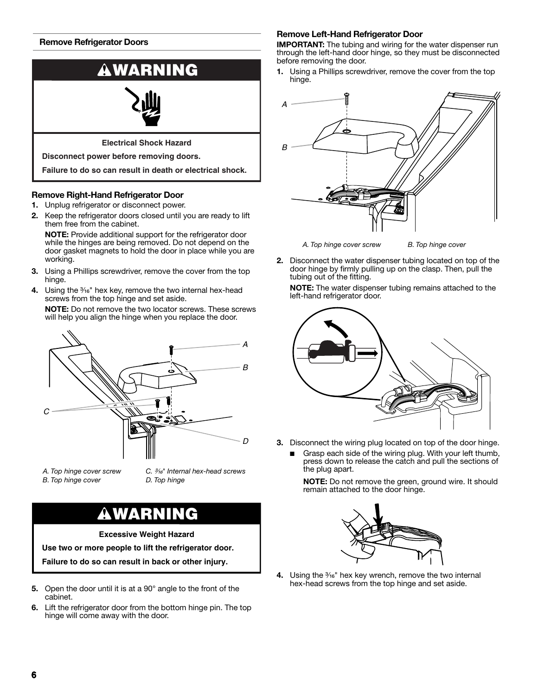# **Remove Refrigerator Doors**



# **Remove Right-Hand Refrigerator Door**

- **1.** Unplug refrigerator or disconnect power.
- **2.** Keep the refrigerator doors closed until you are ready to lift them free from the cabinet.

**NOTE:** Provide additional support for the refrigerator door while the hinges are being removed. Do not depend on the door gasket magnets to hold the door in place while you are working.

- **3.** Using a Phillips screwdriver, remove the cover from the top hinge.
- **4.** Using the <sup>3/16</sup>" hex key, remove the two internal hex-head screws from the top hinge and set aside.

**NOTE:** Do not remove the two locator screws. These screws will help you align the hinge when you replace the door.



*A. Top hinge cover screw B. Top hinge cover*

*C.* ³⁄₁₆*" Internal hex-head screws D. Top hinge*

# **WARNING**

**Excessive Weight Hazard**

**Use two or more people to lift the refrigerator door.**

**Failure to do so can result in back or other injury.**

- **5.** Open the door until it is at a 90° angle to the front of the cabinet.
- **6.** Lift the refrigerator door from the bottom hinge pin. The top hinge will come away with the door.

## **Remove Left-Hand Refrigerator Door**

**IMPORTANT:** The tubing and wiring for the water dispenser run through the left-hand door hinge, so they must be disconnected before removing the door.

**1.** Using a Phillips screwdriver, remove the cover from the top hinge.



*A. Top hinge cover screw B. Top hinge cover*

**2.** Disconnect the water dispenser tubing located on top of the door hinge by firmly pulling up on the clasp. Then, pull the tubing out of the fitting.

**NOTE:** The water dispenser tubing remains attached to the left-hand refrigerator door.



- **3.** Disconnect the wiring plug located on top of the door hinge.
	- Grasp each side of the wiring plug. With your left thumb, press down to release the catch and pull the sections of the plug apart.

**NOTE:** Do not remove the green, ground wire. It should remain attached to the door hinge.



**4.** Using the <sup>3</sup>/<sub>16</sub>" hex key wrench, remove the two internal hex-head screws from the top hinge and set aside.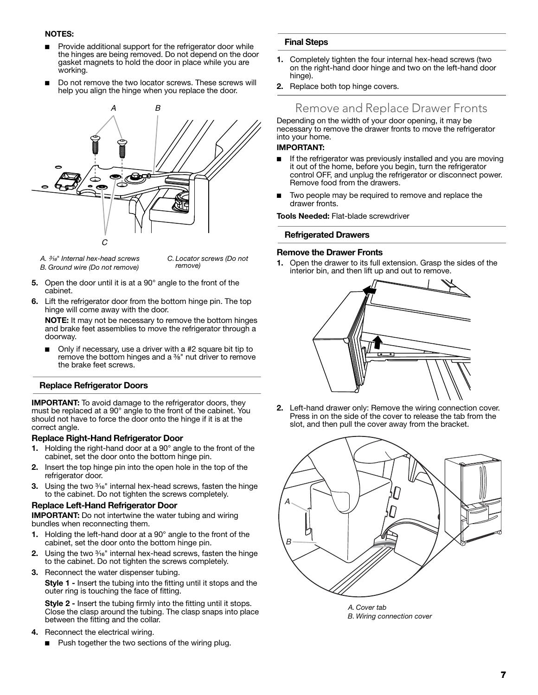# **NOTES:**

- Provide additional support for the refrigerator door while the hinges are being removed. Do not depend on the door gasket magnets to hold the door in place while you are working.
- Do not remove the two locator screws. These screws will help you align the hinge when you replace the door.



- *A.* ³⁄₁₆*" Internal hex-head screws B. Ground wire (Do not remove)*
- *C. Locator screws (Do not remove)*
- **5.** Open the door until it is at a 90° angle to the front of the cabinet.
- **6.** Lift the refrigerator door from the bottom hinge pin. The top hinge will come away with the door.

**NOTE:** It may not be necessary to remove the bottom hinges and brake feet assemblies to move the refrigerator through a doorway.

Only if necessary, use a driver with a #2 square bit tip to remove the bottom hinges and a <sup>3/8</sup>" nut driver to remove the brake feet screws.

### **Replace Refrigerator Doors**

**IMPORTANT:** To avoid damage to the refrigerator doors, they must be replaced at a 90° angle to the front of the cabinet. You should not have to force the door onto the hinge if it is at the correct angle.

### **Replace Right-Hand Refrigerator Door**

- **1.** Holding the right-hand door at a 90° angle to the front of the cabinet, set the door onto the bottom hinge pin.
- **2.** Insert the top hinge pin into the open hole in the top of the refrigerator door.
- **3.** Using the two <sup>3</sup><sup>16</sup>" internal hex-head screws, fasten the hinge to the cabinet. Do not tighten the screws completely.

### **Replace Left-Hand Refrigerator Door**

**IMPORTANT:** Do not intertwine the water tubing and wiring bundles when reconnecting them.

- **1.** Holding the left-hand door at a 90° angle to the front of the cabinet, set the door onto the bottom hinge pin.
- **2.** Using the two <sup>3</sup><sup>16</sup>" internal hex-head screws, fasten the hinge to the cabinet. Do not tighten the screws completely.
- **3.** Reconnect the water dispenser tubing.

**Style 1 -** Insert the tubing into the fitting until it stops and the outer ring is touching the face of fitting.

**Style 2 -** Insert the tubing firmly into the fitting until it stops. Close the clasp around the tubing. The clasp snaps into place between the fitting and the collar.

- **4.** Reconnect the electrical wiring.
	- Push together the two sections of the wiring plug.

# **Final Steps**

- **1.** Completely tighten the four internal hex-head screws (two on the right-hand door hinge and two on the left-hand door hinge).
- **2.** Replace both top hinge covers.

# Remove and Replace Drawer Fronts

Depending on the width of your door opening, it may be necessary to remove the drawer fronts to move the refrigerator into your home.

## **IMPORTANT:**

- If the refrigerator was previously installed and you are moving it out of the home, before you begin, turn the refrigerator control OFF, and unplug the refrigerator or disconnect power. Remove food from the drawers.
- Two people may be required to remove and replace the drawer fronts.

**Tools Needed:** Flat-blade screwdriver

# **Refrigerated Drawers**

# **Remove the Drawer Fronts**

**1.** Open the drawer to its full extension. Grasp the sides of the interior bin, and then lift up and out to remove.



**2.** Left-hand drawer only: Remove the wiring connection cover. Press in on the side of the cover to release the tab from the slot, and then pull the cover away from the bracket.



*A. Cover tab B. Wiring connection cover*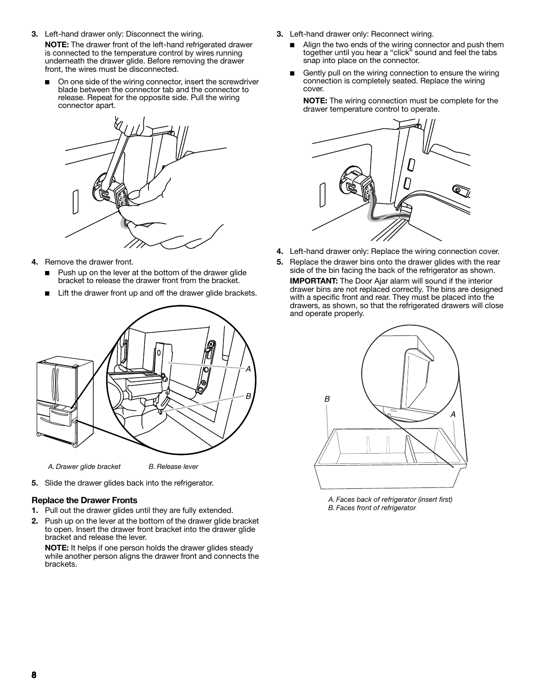**3.** Left-hand drawer only: Disconnect the wiring.

**NOTE:** The drawer front of the left-hand refrigerated drawer is connected to the temperature control by wires running underneath the drawer glide. Before removing the drawer front, the wires must be disconnected.

On one side of the wiring connector, insert the screwdriver blade between the connector tab and the connector to release. Repeat for the opposite side. Pull the wiring connector apart.



- **4.** Remove the drawer front.
	- Push up on the lever at the bottom of the drawer glide bracket to release the drawer front from the bracket.
	- Lift the drawer front up and off the drawer glide brackets.



*A. Drawer glide bracket B. Release lever*

**5.** Slide the drawer glides back into the refrigerator.

# **Replace the Drawer Fronts**

- **1.** Pull out the drawer glides until they are fully extended.
- **2.** Push up on the lever at the bottom of the drawer glide bracket to open. Insert the drawer front bracket into the drawer glide bracket and release the lever.

**NOTE:** It helps if one person holds the drawer glides steady while another person aligns the drawer front and connects the brackets.

- **3.** Left-hand drawer only: Reconnect wiring.
	- Align the two ends of the wiring connector and push them together until you hear a "click" sound and feel the tabs snap into place on the connector.
	- Gently pull on the wiring connection to ensure the wiring connection is completely seated. Replace the wiring cover.

**NOTE:** The wiring connection must be complete for the drawer temperature control to operate.



- **4.** Left-hand drawer only: Replace the wiring connection cover.
- **5.** Replace the drawer bins onto the drawer glides with the rear side of the bin facing the back of the refrigerator as shown. **IMPORTANT:** The Door Ajar alarm will sound if the interior drawer bins are not replaced correctly. The bins are designed with a specific front and rear. They must be placed into the drawers, as shown, so that the refrigerated drawers will close and operate properly.



*A. Faces back of refrigerator (insert first) B. Faces front of refrigerator*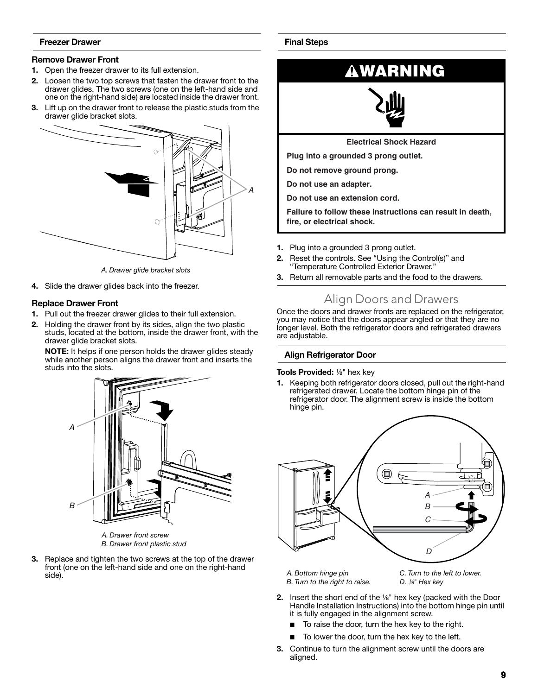# **Freezer Drawer**

# **Remove Drawer Front**

- **1.** Open the freezer drawer to its full extension.
- **2.** Loosen the two top screws that fasten the drawer front to the drawer glides. The two screws (one on the left-hand side and one on the right-hand side) are located inside the drawer front.
- **3.** Lift up on the drawer front to release the plastic studs from the drawer glide bracket slots.



*A. Drawer glide bracket slots*

**4.** Slide the drawer glides back into the freezer.

# **Replace Drawer Front**

- **1.** Pull out the freezer drawer glides to their full extension.
- **2.** Holding the drawer front by its sides, align the two plastic studs, located at the bottom, inside the drawer front, with the drawer glide bracket slots.

**NOTE:** It helps if one person holds the drawer glides steady while another person aligns the drawer front and inserts the studs into the slots.



*A. Drawer front screw B. Drawer front plastic stud*

**3.** Replace and tighten the two screws at the top of the drawer front (one on the left-hand side and one on the right-hand side).

# **Final Steps**



**Do not use an extension cord.**

**Failure to follow these instructions can result in death, fire, or electrical shock.**

- **1.** Plug into a grounded 3 prong outlet.
- **2.** Reset the controls. See "Using the Control(s)" and "Temperature Controlled Exterior Drawer."
- **3.** Return all removable parts and the food to the drawers.

# Align Doors and Drawers

Once the doors and drawer fronts are replaced on the refrigerator, you may notice that the doors appear angled or that they are no longer level. Both the refrigerator doors and refrigerated drawers are adjustable.

## **Align Refrigerator Door**

**Tools Provided:** 1/<sub>8</sub>" hex key

**1.** Keeping both refrigerator doors closed, pull out the right-hand refrigerated drawer. Locate the bottom hinge pin of the refrigerator door. The alignment screw is inside the bottom hinge pin.



*A. Bottom hinge pin B. Turn to the right to raise.* *C. Turn to the left to lower. D.*  $\frac{1}{8}$ <sup>"</sup> Hex kev

- **2.** Insert the short end of the <sup>1/8</sup>" hex key (packed with the Door Handle Installation Instructions) into the bottom hinge pin until it is fully engaged in the alignment screw.
	- To raise the door, turn the hex key to the right.
	- To lower the door, turn the hex key to the left.
- **3.** Continue to turn the alignment screw until the doors are aligned.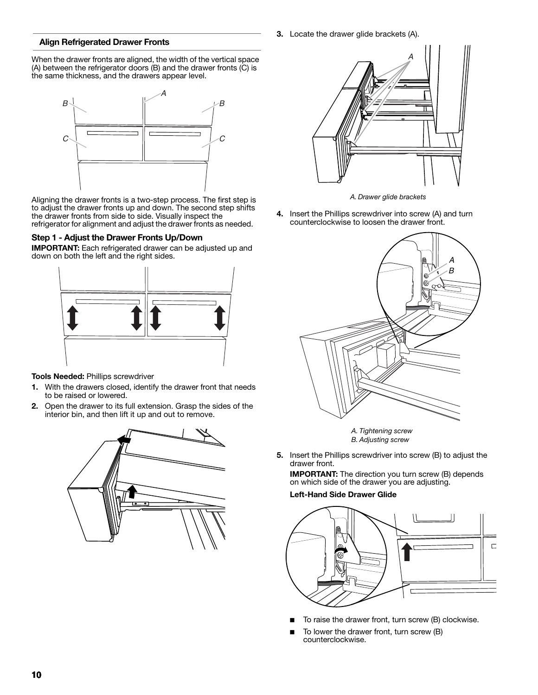**3.** Locate the drawer glide brackets (A).

# **Align Refrigerated Drawer Fronts**

When the drawer fronts are aligned, the width of the vertical space (A) between the refrigerator doors (B) and the drawer fronts (C) is the same thickness, and the drawers appear level.



Aligning the drawer fronts is a two-step process. The first step is to adjust the drawer fronts up and down. The second step shifts the drawer fronts from side to side. Visually inspect the refrigerator for alignment and adjust the drawer fronts as needed.

# **Step 1 - Adjust the Drawer Fronts Up/Down**

**IMPORTANT:** Each refrigerated drawer can be adjusted up and down on both the left and the right sides.



# **Tools Needed:** Phillips screwdriver

- **1.** With the drawers closed, identify the drawer front that needs to be raised or lowered.
- **2.** Open the drawer to its full extension. Grasp the sides of the interior bin, and then lift it up and out to remove.

![](_page_7_Figure_11.jpeg)

![](_page_7_Figure_12.jpeg)

*A. Drawer glide brackets*

**4.** Insert the Phillips screwdriver into screw (A) and turn counterclockwise to loosen the drawer front.

![](_page_7_Picture_15.jpeg)

*A. Tightening screw B. Adjusting screw*

**5.** Insert the Phillips screwdriver into screw (B) to adjust the drawer front.

**IMPORTANT:** The direction you turn screw (B) depends on which side of the drawer you are adjusting.

#### **Left-Hand Side Drawer Glide**

![](_page_7_Figure_20.jpeg)

- To raise the drawer front, turn screw (B) clockwise.
- To lower the drawer front, turn screw (B) counterclockwise.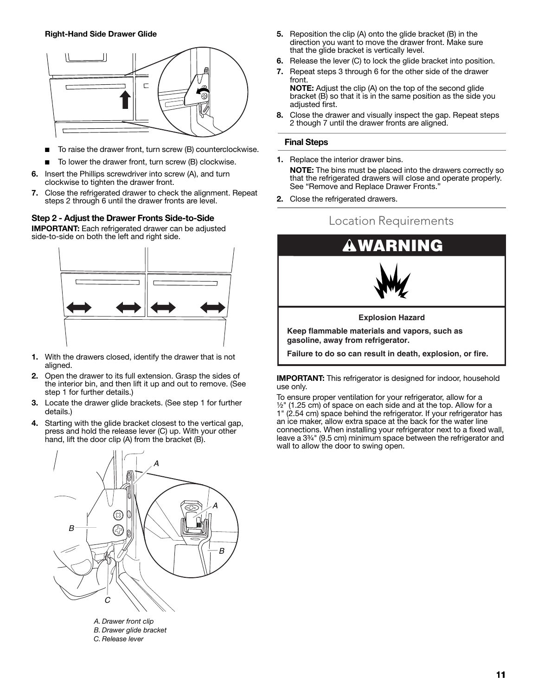![](_page_8_Figure_1.jpeg)

- To raise the drawer front, turn screw (B) counterclockwise.
- To lower the drawer front, turn screw (B) clockwise.
- **6.** Insert the Phillips screwdriver into screw (A), and turn clockwise to tighten the drawer front.
- **7.** Close the refrigerated drawer to check the alignment. Repeat steps 2 through 6 until the drawer fronts are level.

# **Step 2 - Adjust the Drawer Fronts Side-to-Side**

**IMPORTANT:** Each refrigerated drawer can be adjusted side-to-side on both the left and right side.

![](_page_8_Figure_8.jpeg)

- **1.** With the drawers closed, identify the drawer that is not aligned.
- **2.** Open the drawer to its full extension. Grasp the sides of the interior bin, and then lift it up and out to remove. (See step 1 for further details.)
- **3.** Locate the drawer glide brackets. (See step 1 for further details.)
- **4.** Starting with the glide bracket closest to the vertical gap, press and hold the release lever (C) up. With your other hand, lift the door clip (A) from the bracket (B).

![](_page_8_Figure_13.jpeg)

*B. Drawer glide bracket C. Release lever*

- **5.** Reposition the clip (A) onto the glide bracket (B) in the direction you want to move the drawer front. Make sure that the glide bracket is vertically level.
- **6.** Release the lever (C) to lock the glide bracket into position.
- **7.** Repeat steps 3 through 6 for the other side of the drawer front. **NOTE:** Adjust the clip (A) on the top of the second glide

bracket (B) so that it is in the same position as the side you adjusted first.

**8.** Close the drawer and visually inspect the gap. Repeat steps 2 though 7 until the drawer fronts are aligned.

#### **Final Steps**

- **1.** Replace the interior drawer bins. **NOTE:** The bins must be placed into the drawers correctly so that the refrigerated drawers will close and operate properly. See "Remove and Replace Drawer Fronts."
- **2.** Close the refrigerated drawers.

![](_page_8_Figure_23.jpeg)

**IMPORTANT:** This refrigerator is designed for indoor, household use only.

To ensure proper ventilation for your refrigerator, allow for a  $\frac{1}{2}$ " (1.25 cm) of space on each side and at the top. Allow for a 1" (2.54 cm) space behind the refrigerator. If your refrigerator has an ice maker, allow extra space at the back for the water line connections. When installing your refrigerator next to a fixed wall, leave a 3<sup>3/4</sup>" (9.5 cm) minimum space between the refrigerator and wall to allow the door to swing open.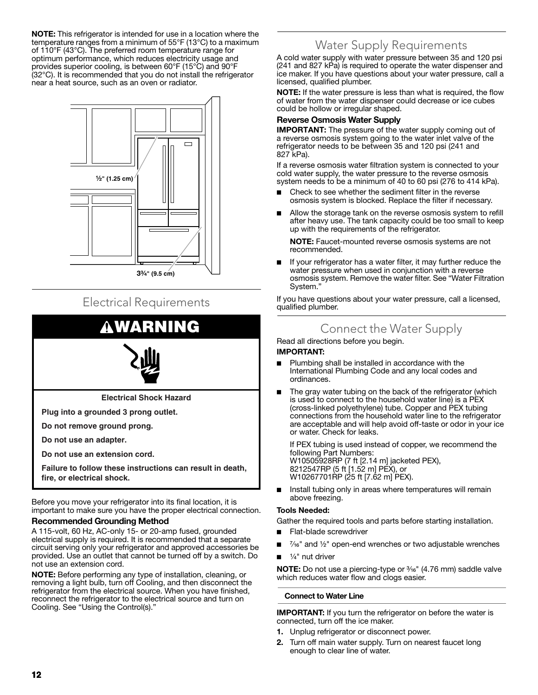**NOTE:** This refrigerator is intended for use in a location where the temperature ranges from a minimum of 55°F (13°C) to a maximum of 110°F (43°C). The preferred room temperature range for optimum performance, which reduces electricity usage and provides superior cooling, is between 60°F (15°C) and 90°F (32°C). It is recommended that you do not install the refrigerator near a heat source, such as an oven or radiator.

![](_page_9_Figure_1.jpeg)

# Electrical Requirements

# **RNING**

![](_page_9_Picture_4.jpeg)

**Electrical Shock Hazard**

**Plug into a grounded 3 prong outlet.**

**Do not remove ground prong.**

**Do not use an adapter.**

**Do not use an extension cord.**

**Failure to follow these instructions can result in death, fire, or electrical shock.**

Before you move your refrigerator into its final location, it is important to make sure you have the proper electrical connection.

### **Recommended Grounding Method**

A 115-volt, 60 Hz, AC-only 15- or 20-amp fused, grounded electrical supply is required. It is recommended that a separate circuit serving only your refrigerator and approved accessories be provided. Use an outlet that cannot be turned off by a switch. Do not use an extension cord.

**NOTE:** Before performing any type of installation, cleaning, or removing a light bulb, turn off Cooling, and then disconnect the refrigerator from the electrical source. When you have finished, reconnect the refrigerator to the electrical source and turn on Cooling. See "Using the Control(s)."

# Water Supply Requirements

A cold water supply with water pressure between 35 and 120 psi (241 and 827 kPa) is required to operate the water dispenser and ice maker. If you have questions about your water pressure, call a licensed, qualified plumber.

**NOTE:** If the water pressure is less than what is required, the flow of water from the water dispenser could decrease or ice cubes could be hollow or irregular shaped.

# **Reverse Osmosis Water Supply**

**IMPORTANT:** The pressure of the water supply coming out of a reverse osmosis system going to the water inlet valve of the refrigerator needs to be between 35 and 120 psi (241 and 827 kPa).

If a reverse osmosis water filtration system is connected to your cold water supply, the water pressure to the reverse osmosis system needs to be a minimum of 40 to 60 psi (276 to 414 kPa).

- Check to see whether the sediment filter in the reverse osmosis system is blocked. Replace the filter if necessary.
- Allow the storage tank on the reverse osmosis system to refill after heavy use. The tank capacity could be too small to keep up with the requirements of the refrigerator.

**NOTE:** Faucet-mounted reverse osmosis systems are not recommended.

■ If your refrigerator has a water filter, it may further reduce the water pressure when used in conjunction with a reverse osmosis system. Remove the water filter. See "Water Filtration System."

If you have questions about your water pressure, call a licensed, qualified plumber.

# Connect the Water Supply

Read all directions before you begin.

### **IMPORTANT:**

- Plumbing shall be installed in accordance with the International Plumbing Code and any local codes and ordinances.
- The gray water tubing on the back of the refrigerator (which is used to connect to the household water line) is a PEX (cross-linked polyethylene) tube. Copper and PEX tubing connections from the household water line to the refrigerator are acceptable and will help avoid off-taste or odor in your ice or water. Check for leaks.

If PEX tubing is used instead of copper, we recommend the following Part Numbers: W10505928RP (7 ft [2.14 m] jacketed PEX), 8212547RP (5 ft [1.52 m] PEX), or W10267701RP (25 ft [7.62 m] PEX).

Install tubing only in areas where temperatures will remain above freezing.

## **Tools Needed:**

Gather the required tools and parts before starting installation.

- Flat-blade screwdriver
- $\frac{7}{6}$ " and  $\frac{1}{2}$ " open-end wrenches or two adjustable wrenches
- $\frac{1}{4}$ " nut driver

**NOTE:** Do not use a piercing-type or  $\frac{3}{16}$ " (4.76 mm) saddle valve which reduces water flow and clogs easier.

### **Connect to Water Line**

**IMPORTANT:** If you turn the refrigerator on before the water is connected, turn off the ice maker.

- **1.** Unplug refrigerator or disconnect power.
- **2.** Turn off main water supply. Turn on nearest faucet long enough to clear line of water.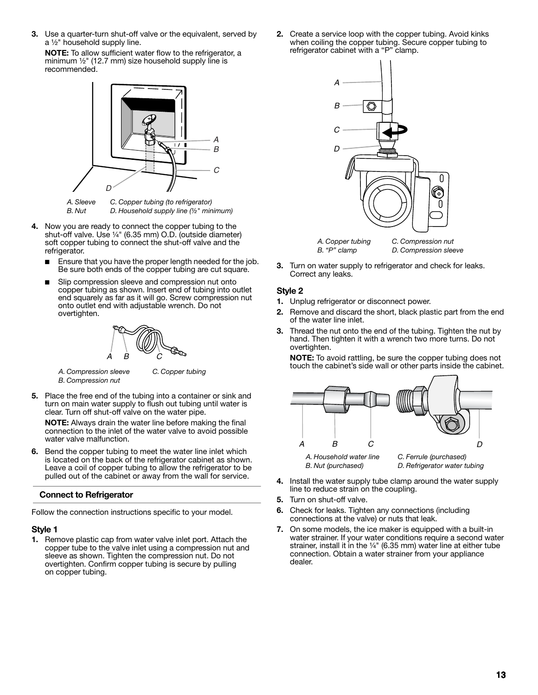**3.** Use a quarter-turn shut-off valve or the equivalent, served by  $a \frac{1}{2}$ " household supply line.

**NOTE:** To allow sufficient water flow to the refrigerator, a minimum  $\frac{1}{2}$ " (12.7 mm) size household supply line is recommended.

![](_page_10_Figure_2.jpeg)

*A. Sleeve B. Nut C. Copper tubing (to refrigerator) D. Household supply line (½" minimum)*

- **4.** Now you are ready to connect the copper tubing to the shut-off valve. Use  $\frac{1}{4}$ " (6.35 mm) O.D. (outside diameter) soft copper tubing to connect the shut-off valve and the refrigerator.
	- Ensure that you have the proper length needed for the job. Be sure both ends of the copper tubing are cut square.
	- Slip compression sleeve and compression nut onto copper tubing as shown. Insert end of tubing into outlet end squarely as far as it will go. Screw compression nut onto outlet end with adjustable wrench. Do not overtighten.

![](_page_10_Figure_7.jpeg)

*A. Compression sleeve B. Compression nut*

*C. Copper tubing*

**5.** Place the free end of the tubing into a container or sink and turn on main water supply to flush out tubing until water is clear. Turn off shut-off valve on the water pipe.

**NOTE:** Always drain the water line before making the final connection to the inlet of the water valve to avoid possible water valve malfunction.

**6.** Bend the copper tubing to meet the water line inlet which is located on the back of the refrigerator cabinet as shown. Leave a coil of copper tubing to allow the refrigerator to be pulled out of the cabinet or away from the wall for service.

# **Connect to Refrigerator**

Follow the connection instructions specific to your model.

# **Style 1**

**1.** Remove plastic cap from water valve inlet port. Attach the copper tube to the valve inlet using a compression nut and sleeve as shown. Tighten the compression nut. Do not overtighten. Confirm copper tubing is secure by pulling on copper tubing.

**2.** Create a service loop with the copper tubing. Avoid kinks when coiling the copper tubing. Secure copper tubing to refrigerator cabinet with a "P" clamp.

![](_page_10_Figure_18.jpeg)

**3.** Turn on water supply to refrigerator and check for leaks. Correct any leaks.

# **Style 2**

- **1.** Unplug refrigerator or disconnect power.
- **2.** Remove and discard the short, black plastic part from the end of the water line inlet.
- **3.** Thread the nut onto the end of the tubing. Tighten the nut by hand. Then tighten it with a wrench two more turns. Do not overtighten.

**NOTE:** To avoid rattling, be sure the copper tubing does not touch the cabinet's side wall or other parts inside the cabinet.

![](_page_10_Figure_25.jpeg)

- **4.** Install the water supply tube clamp around the water supply line to reduce strain on the coupling.
- **5.** Turn on shut-off valve.
- **6.** Check for leaks. Tighten any connections (including connections at the valve) or nuts that leak.
- **7.** On some models, the ice maker is equipped with a built-in water strainer. If your water conditions require a second water strainer, install it in the  $\frac{1}{4}$ " (6.35 mm) water line at either tube connection. Obtain a water strainer from your appliance dealer.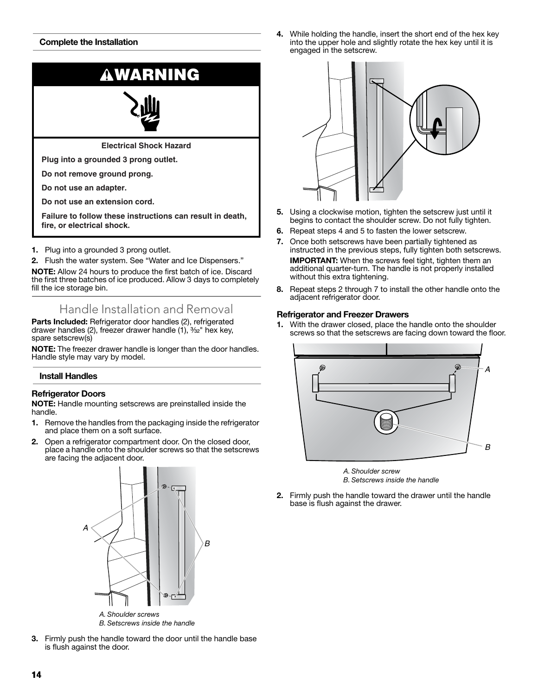# **Complete the Installation**

![](_page_11_Picture_1.jpeg)

**NOTE:** Allow 24 hours to produce the first batch of ice. Discard the first three batches of ice produced. Allow 3 days to completely fill the ice storage bin.

Handle Installation and Removal

**Parts Included:** Refrigerator door handles (2), refrigerated drawer handles (2), freezer drawer handle  $(1)$ ,  $\frac{3}{2}$ " hex key, spare setscrew(s)

**NOTE:** The freezer drawer handle is longer than the door handles. Handle style may vary by model.

# **Install Handles**

### **Refrigerator Doors**

**NOTE:** Handle mounting setscrews are preinstalled inside the handle.

- **1.** Remove the handles from the packaging inside the refrigerator and place them on a soft surface.
- **2.** Open a refrigerator compartment door. On the closed door, place a handle onto the shoulder screws so that the setscrews are facing the adjacent door.

![](_page_11_Figure_11.jpeg)

**3.** Firmly push the handle toward the door until the handle base is flush against the door.

**4.** While holding the handle, insert the short end of the hex key into the upper hole and slightly rotate the hex key until it is engaged in the setscrew.

![](_page_11_Figure_14.jpeg)

- **5.** Using a clockwise motion, tighten the setscrew just until it begins to contact the shoulder screw. Do not fully tighten.
- **6.** Repeat steps 4 and 5 to fasten the lower setscrew.
- **7.** Once both setscrews have been partially tightened as instructed in the previous steps, fully tighten both setscrews. **IMPORTANT:** When the screws feel tight, tighten them an additional quarter-turn. The handle is not properly installed without this extra tightening.
- **8.** Repeat steps 2 through 7 to install the other handle onto the adjacent refrigerator door.

#### **Refrigerator and Freezer Drawers**

**1.** With the drawer closed, place the handle onto the shoulder screws so that the setscrews are facing down toward the floor.

![](_page_11_Figure_21.jpeg)

![](_page_11_Figure_22.jpeg)

**2.** Firmly push the handle toward the drawer until the handle base is flush against the drawer.